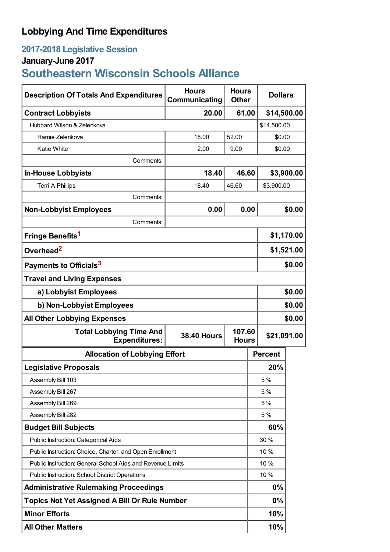## **Lobbying And Time Expenditures**

## **2017-2018 Legislative Session**

# **January-June 2017**

# **Southeastern Wisconsin Schools Alliance**

| <b>Description Of Totals And Expenditures</b>                                                          | <b>Hours</b><br>Communicating | <b>Hours</b><br><b>Other</b> | <b>Dollars</b> |            |  |
|--------------------------------------------------------------------------------------------------------|-------------------------------|------------------------------|----------------|------------|--|
| <b>Contract Lobbyists</b>                                                                              | 20.00                         | 61.00                        | \$14,500.00    |            |  |
| Hubbard Wilson & Zelenkova                                                                             |                               |                              | \$14,500.00    |            |  |
| Ramie Zelenkova                                                                                        | 18.00                         | 52.00                        |                | \$0.00     |  |
| <b>Katie White</b>                                                                                     | 2.00                          | 9.00                         | \$0.00         |            |  |
| Comments:                                                                                              |                               |                              |                |            |  |
| <b>In-House Lobbyists</b>                                                                              | 18.40                         | 46.60                        |                | \$3,900.00 |  |
| <b>Terri A Phillips</b>                                                                                | 18.40                         | 46.60                        | \$3,900.00     |            |  |
| Comments:                                                                                              |                               |                              |                |            |  |
| <b>Non-Lobbyist Employees</b>                                                                          | 0.00                          | 0.00                         |                | \$0.00     |  |
| Comments:                                                                                              |                               |                              |                |            |  |
| Fringe Benefits <sup>1</sup>                                                                           |                               |                              |                | \$1,170.00 |  |
| Overhead <sup>2</sup>                                                                                  |                               |                              | \$1,521.00     |            |  |
| Payments to Officials <sup>3</sup>                                                                     |                               |                              |                | \$0.00     |  |
| <b>Travel and Living Expenses</b>                                                                      |                               |                              |                |            |  |
| a) Lobbyist Employees                                                                                  |                               |                              | \$0.00         |            |  |
| b) Non-Lobbyist Employees                                                                              |                               |                              |                | \$0.00     |  |
| <b>All Other Lobbying Expenses</b>                                                                     |                               |                              |                | \$0.00     |  |
| 107.60<br><b>Total Lobbying Time And</b><br><b>38.40 Hours</b><br><b>Expenditures:</b><br><b>Hours</b> |                               |                              | \$21,091.00    |            |  |
| <b>Allocation of Lobbying Effort</b>                                                                   |                               |                              | <b>Percent</b> |            |  |
| <b>Legislative Proposals</b>                                                                           |                               |                              | 20%            |            |  |
| Assembly Bill 103                                                                                      |                               |                              | 5 %            |            |  |
| Assembly Bill 267                                                                                      |                               |                              | 5 %            |            |  |
| Assembly Bill 269                                                                                      |                               |                              | 5 %            |            |  |
| Assembly Bill 282                                                                                      |                               |                              | 5 %            |            |  |
| <b>Budget Bill Subjects</b>                                                                            |                               |                              | 60%            |            |  |
| Public Instruction: Categorical Aids                                                                   |                               |                              | 30 %           |            |  |
| Public Instruction: Choice, Charter, and Open Enrollment                                               |                               |                              | 10 %           |            |  |
| Public Instruction: General School Aids and Revenue Limits                                             |                               |                              | 10 %           |            |  |
| Public Instruction: School District Operations                                                         |                               |                              | 10 %           |            |  |
| <b>Administrative Rulemaking Proceedings</b>                                                           |                               |                              | 0%             |            |  |
| <b>Topics Not Yet Assigned A Bill Or Rule Number</b>                                                   |                               |                              | 0%             |            |  |
| <b>Minor Efforts</b>                                                                                   |                               |                              | 10%            |            |  |
| <b>All Other Matters</b>                                                                               |                               |                              | 10%            |            |  |